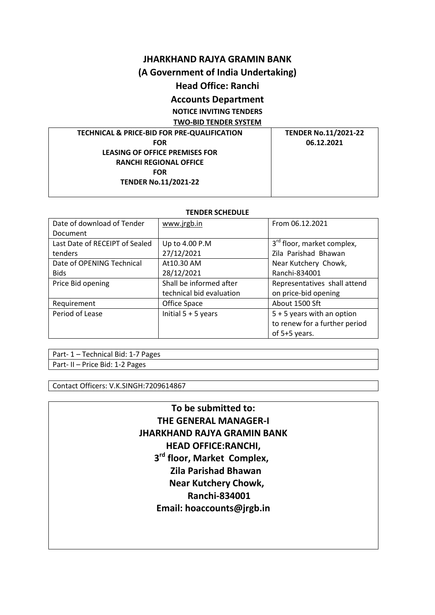## **JHARKHAND RAJYA GRAMIN BANK**

# **(A Government of India Undertaking)**

# **Head Office: Ranchi**

# **Accounts Department**

**NOTICE INVITING TENDERS**

**TWO-BID TENDER SYSTEM**

## **TECHNICAL & PRICE-BID FOR PRE-QUALIFICATION FOR LEASING OF OFFICE PREMISES FOR RANCHI REGIONAL OFFICE FOR TENDER No.11/2021-22**

**TENDER No.11/2021-22 06.12.2021**

#### **TENDER SCHEDULE**

| Date of download of Tender     | www.jrgb.in              | From 06.12.2021                        |
|--------------------------------|--------------------------|----------------------------------------|
| Document                       |                          |                                        |
| Last Date of RECEIPT of Sealed | Up to 4.00 P.M           | 3 <sup>rd</sup> floor, market complex, |
| tenders                        | 27/12/2021               | Zila Parishad Bhawan                   |
| Date of OPENING Technical      | At10.30 AM               | Near Kutchery Chowk,                   |
| <b>Bids</b>                    | 28/12/2021               | Ranchi-834001                          |
| Price Bid opening              | Shall be informed after  | Representatives shall attend           |
|                                | technical bid evaluation | on price-bid opening                   |
| Requirement                    | Office Space             | About 1500 Sft                         |
| Period of Lease                | Initial $5 + 5$ years    | $5 + 5$ years with an option           |
|                                |                          | to renew for a further period          |
|                                |                          | of 5+5 years.                          |

Part- 1 – Technical Bid: 1-7 Pages Part- II – Price Bid: 1-2 Pages

Contact Officers: V.K.SINGH:7209614867

# **To be submitted to: THE GENERAL MANAGER-I JHARKHAND RAJYA GRAMIN BANK HEAD OFFICE:RANCHI, 3 3 3 3 rd floor, Market Complex, Zila Parishad Bhawan Near Kutchery Chowk, Ranchi-834001 Email: hoaccounts@jrgb.in**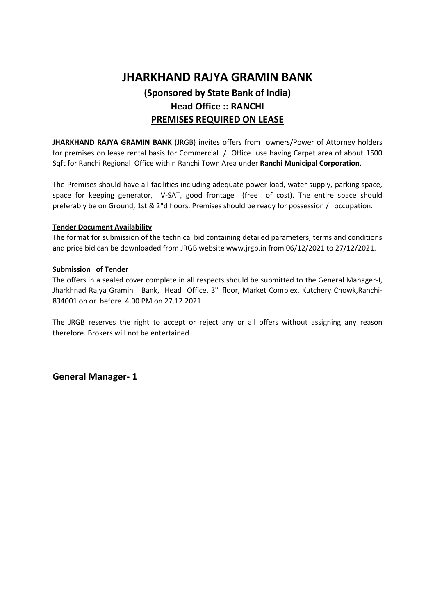# **JHARKHAND RAJYA GRAMIN BANK (Sponsored by State Bank of India) Head Office :: RANCHI PREMISES REQUIRED ON LEASE**

**JHARKHAND RAJYA GRAMIN BANK** (JRGB) invites offers from owners/Power of Attorney holders for premises on lease rental basis for Commercial / Office use having Carpet area of about 1500 Sqft for Ranchi Regional Office within Ranchi Town Area under **Ranchi Municipal Corporation**.

The Premises should have all facilities including adequate power load, water supply, parking space, space for keeping generator, V-SAT, good frontage (free of cost). The entire space should preferably be on Ground, 1st & 2"d floors. Premises should be ready for possession / occupation.

#### **Tender Document Availability**

The format for submission of the technical bid containing detailed parameters, terms and conditions and price bid can be downloaded from JRGB website www.jrgb.in from 06/12/2021 to 27/12/2021.

#### **Submission of Tender**

The offers in a sealed cover complete in all respects should be submitted to the General Manager-I, Jharkhnad Rajya Gramin Bank, Head Office, 3<sup>rd</sup> floor, Market Complex, Kutchery Chowk, Ranchi-834001 on or before 4.00 PM on 27.12.2021

The JRGB reserves the right to accept or reject any or all offers without assigning any reason therefore. Brokers will not be entertained.

**General Manager- 1**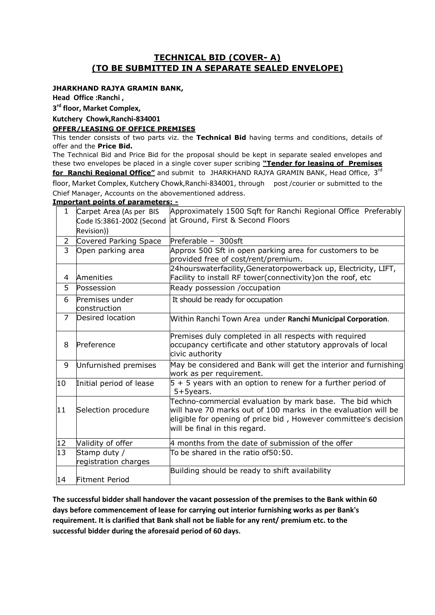# **TECHNICAL BID (COVER- A) (TO BE SUBMITTED IN A SEPARATE SEALED ENVELOPE)**

#### **JHARKHAND RAJYA GRAMIN BANK,**

**Head Office :Ranchi ,** 

**3 rd floor, Market Complex,**

#### **Kutchery Chowk,Ranchi-834001**

#### **OFFER/LEASING OF OFFICE PREMISES**

This tender consists of two parts viz. the **Technical Bid** having terms and conditions, details of offer and the **Price Bid.**

The Technical Bid and Price Bid for the proposal should be kept in separate sealed envelopes and these two envelopes be placed in a single cover super scribing **"Tender for leasing of Premises for Ranchi Regional Office"** and submit to JHARKHAND RAJYA GRAMIN BANK, Head Office, 3 rd

floor, Market Complex, Kutchery Chowk,Ranchi-834001, through post /courier or submitted to the Chief Manager, Accounts on the abovementioned address.

#### **Important points of parameters: -**

| $\mathbf{1}$    | Carpet Area (As per BIS<br>Code IS:3861-2002 (Second | Approximately 1500 Sqft for Ranchi Regional Office Preferably<br>at Ground, First & Second Floors                                                                                                                             |  |
|-----------------|------------------------------------------------------|-------------------------------------------------------------------------------------------------------------------------------------------------------------------------------------------------------------------------------|--|
|                 | Revision))                                           |                                                                                                                                                                                                                               |  |
| $\overline{2}$  | Covered Parking Space                                | Preferable - 300sft                                                                                                                                                                                                           |  |
| $\overline{3}$  | Open parking area                                    | Approx 500 Sft in open parking area for customers to be<br>provided free of cost/rent/premium.                                                                                                                                |  |
| 4               | Amenities                                            | 24hourswaterfacility, Generatorpowerback up, Electricity, LIFT,<br>Facility to install RF tower(connectivity) on the roof, etc                                                                                                |  |
| 5               | Possession                                           | Ready possession /occupation                                                                                                                                                                                                  |  |
| 6               | Premises under<br>construction                       | It should be ready for occupation                                                                                                                                                                                             |  |
| $\overline{7}$  | Desired location                                     | Within Ranchi Town Area under Ranchi Municipal Corporation.                                                                                                                                                                   |  |
| 8               | Preference                                           | Premises duly completed in all respects with required<br>occupancy certificate and other statutory approvals of local<br>civic authority                                                                                      |  |
| 9               | Unfurnished premises                                 | May be considered and Bank will get the interior and furnishing<br>work as per requirement.                                                                                                                                   |  |
| 10              | Initial period of lease                              | 5 + 5 years with an option to renew for a further period of<br>5+5years.                                                                                                                                                      |  |
| 11              | Selection procedure                                  | Techno-commercial evaluation by mark base. The bid which<br>will have 70 marks out of 100 marks in the evaluation will be<br>eligible for opening of price bid, However committee's decision<br>will be final in this regard. |  |
| 12              | Validity of offer                                    | 4 months from the date of submission of the offer                                                                                                                                                                             |  |
| $\overline{13}$ | Stamp duty /<br>registration charges                 | To be shared in the ratio of50:50.                                                                                                                                                                                            |  |
| 14              | <b>Fitment Period</b>                                | Building should be ready to shift availability                                                                                                                                                                                |  |

**The successful bidder shall handover the vacant possession of the premises to the Bank within 60 days before commencement of lease for carrying out interior furnishing works as per Bank's requirement. It is clarified that Bank shall not be liable for any rent/ premium etc. to the successful bidder during the aforesaid period of 60 days.**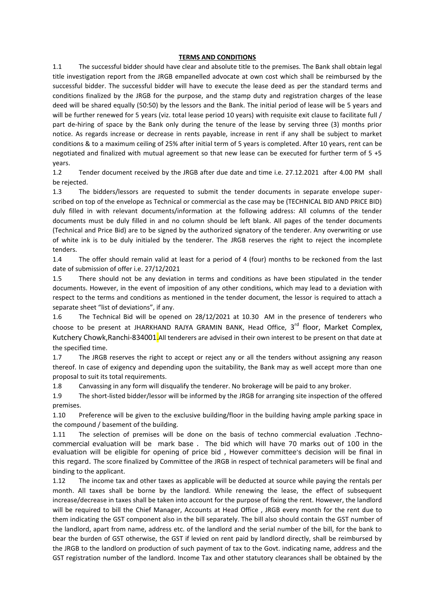#### **TERMS AND CONDITIONS**

1.1 The successful bidder should have clear and absolute title to the premises. The Bank shall obtain legal title investigation report from the JRGB empanelled advocate at own cost which shall be reimbursed by the successful bidder. The successful bidder will have to execute the lease deed as per the standard terms and conditions finalized by the JRGB for the purpose, and the stamp duty and registration charges of the lease deed will be shared equally (50:50) by the lessors and the Bank. The initial period of lease will be 5 years and will be further renewed for 5 years (viz. total lease period 10 years) with requisite exit clause to facilitate full / part de-hiring of space by the Bank only during the tenure of the lease by serving three (3) months prior notice. As regards increase or decrease in rents payable, increase in rent if any shall be subject to market conditions & to a maximum ceiling of 25% after initial term of 5 years is completed. After 10 years, rent can be negotiated and finalized with mutual agreement so that new lease can be executed for further term of 5 +5 years.

1.2 Tender document received by the JRGB after due date and time i.e. 27.12.2021 after 4.00 PM shall be rejected.

1.3 The bidders/lessors are requested to submit the tender documents in separate envelope superscribed on top of the envelope as Technical or commercial as the case may be (TECHNICAL BID AND PRICE BID) duly filled in with relevant documents/information at the following address: All columns of the tender documents must be duly filled in and no column should be left blank. All pages of the tender documents (Technical and Price Bid) are to be signed by the authorized signatory of the tenderer. Any overwriting or use of white ink is to be duly initialed by the tenderer. The JRGB reserves the right to reject the incomplete tenders.

1.4 The offer should remain valid at least for a period of 4 (four) months to be reckoned from the last date of submission of offer i.e. 27/12/2021

1.5 There should not be any deviation in terms and conditions as have been stipulated in the tender documents. However, in the event of imposition of any other conditions, which may lead to a deviation with respect to the terms and conditions as mentioned in the tender document, the lessor is required to attach a separate sheet "list of deviations", if any.

1.6 The Technical Bid will be opened on 28/12/2021 at 10.30 AM in the presence of tenderers who choose to be present at JHARKHAND RAJYA GRAMIN BANK, Head Office, 3<sup>rd</sup> floor, Market Complex, Kutchery Chowk, Ranchi-834001. All tenderers are advised in their own interest to be present on that date at the specified time.

1.7 The JRGB reserves the right to accept or reject any or all the tenders without assigning any reason thereof. In case of exigency and depending upon the suitability, the Bank may as well accept more than one proposal to suit its total requirements.

1.8 Canvassing in any form will disqualify the tenderer. No brokerage will be paid to any broker.

1.9 The short-listed bidder/lessor will be informed by the JRGB for arranging site inspection of the offered premises.

1.10 Preference will be given to the exclusive building/floor in the building having ample parking space in the compound / basement of the building.

1.11 The selection of premises will be done on the basis of techno commercial evaluation .Technocommercial evaluation will be mark base . The bid which will have 70 marks out of 100 in the evaluation will be eligible for opening of price bid , However committee's decision will be final in this regard. The score finalized by Committee of the JRGB in respect of technical parameters will be final and binding to the applicant.

1.12 The income tax and other taxes as applicable will be deducted at source while paying the rentals per month. All taxes shall be borne by the landlord. While renewing the lease, the effect of subsequent increase/decrease in taxes shall be taken into account for the purpose of fixing the rent. However, the landlord will be required to bill the Chief Manager, Accounts at Head Office , JRGB every month for the rent due to them indicating the GST component also in the bill separately. The bill also should contain the GST number of the landlord, apart from name, address etc. of the landlord and the serial number of the bill, for the bank to bear the burden of GST otherwise, the GST if levied on rent paid by landlord directly, shall be reimbursed by the JRGB to the landlord on production of such payment of tax to the Govt. indicating name, address and the GST registration number of the landlord. Income Tax and other statutory clearances shall be obtained by the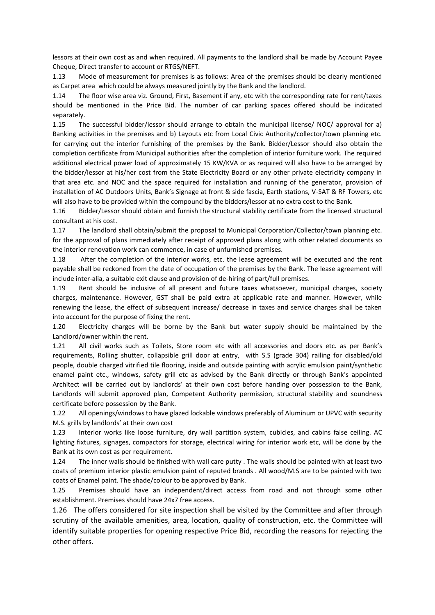lessors at their own cost as and when required. All payments to the landlord shall be made by Account Payee Cheque, Direct transfer to account or RTGS/NEFT.

1.13 Mode of measurement for premises is as follows: Area of the premises should be clearly mentioned as Carpet area which could be always measured jointly by the Bank and the landlord.

1.14 The floor wise area viz. Ground, First, Basement if any, etc with the corresponding rate for rent/taxes should be mentioned in the Price Bid. The number of car parking spaces offered should be indicated separately.

1.15 The successful bidder/lessor should arrange to obtain the municipal license/ NOC/ approval for a) Banking activities in the premises and b) Layouts etc from Local Civic Authority/collector/town planning etc. for carrying out the interior furnishing of the premises by the Bank. Bidder/Lessor should also obtain the completion certificate from Municipal authorities after the completion of interior furniture work. The required additional electrical power load of approximately 15 KW/KVA or as required will also have to be arranged by the bidder/lessor at his/her cost from the State Electricity Board or any other private electricity company in that area etc. and NOC and the space required for installation and running of the generator, provision of installation of AC Outdoors Units, Bank's Signage at front & side fascia, Earth stations, V-SAT & RF Towers, etc will also have to be provided within the compound by the bidders/lessor at no extra cost to the Bank.

1.16 Bidder/Lessor should obtain and furnish the structural stability certificate from the licensed structural consultant at his cost.

1.17 The landlord shall obtain/submit the proposal to Municipal Corporation/Collector/town planning etc. for the approval of plans immediately after receipt of approved plans along with other related documents so the interior renovation work can commence, in case of unfurnished premises.

1.18 After the completion of the interior works, etc. the lease agreement will be executed and the rent payable shall be reckoned from the date of occupation of the premises by the Bank. The lease agreement will include inter-alia, a suitable exit clause and provision of de-hiring of part/full premises.

1.19 Rent should be inclusive of all present and future taxes whatsoever, municipal charges, society charges, maintenance. However, GST shall be paid extra at applicable rate and manner. However, while renewing the lease, the effect of subsequent increase/ decrease in taxes and service charges shall be taken into account for the purpose of fixing the rent.

1.20 Electricity charges will be borne by the Bank but water supply should be maintained by the Landlord/owner within the rent.

1.21 All civil works such as Toilets, Store room etc with all accessories and doors etc. as per Bank's requirements, Rolling shutter, collapsible grill door at entry, with S.S (grade 304) railing for disabled/old people, double charged vitrified tile flooring, inside and outside painting with acrylic emulsion paint/synthetic enamel paint etc., windows, safety grill etc as advised by the Bank directly or through Bank's appointed Architect will be carried out by landlords' at their own cost before handing over possession to the Bank, Landlords will submit approved plan, Competent Authority permission, structural stability and soundness certificate before possession by the Bank.

1.22 All openings/windows to have glazed lockable windows preferably of Aluminum or UPVC with security M.S. grills by landlords' at their own cost

1.23 Interior works like loose furniture, dry wall partition system, cubicles, and cabins false ceiling. AC lighting fixtures, signages, compactors for storage, electrical wiring for interior work etc, will be done by the Bank at its own cost as per requirement.

1.24 The inner walls should be finished with wall care putty . The walls should be painted with at least two coats of premium interior plastic emulsion paint of reputed brands . All wood/M.S are to be painted with two coats of Enamel paint. The shade/colour to be approved by Bank.

1.25 Premises should have an independent/direct access from road and not through some other establishment. Premises should have 24x7 free access.

1.26 The offers considered for site inspection shall be visited by the Committee and after through scrutiny of the available amenities, area, location, quality of construction, etc. the Committee will identify suitable properties for opening respective Price Bid, recording the reasons for rejecting the other offers.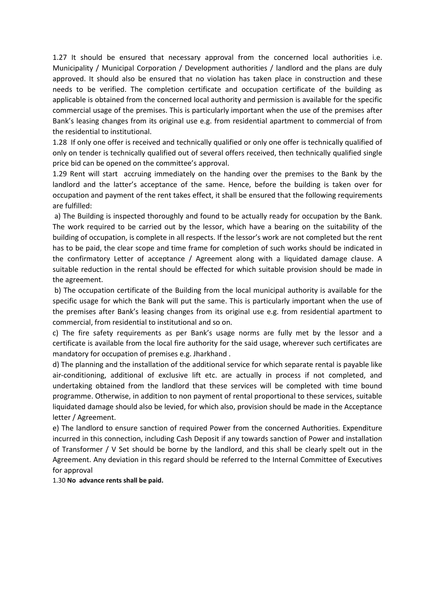1.27 It should be ensured that necessary approval from the concerned local authorities i.e. Municipality / Municipal Corporation / Development authorities / landlord and the plans are duly approved. It should also be ensured that no violation has taken place in construction and these needs to be verified. The completion certificate and occupation certificate of the building as applicable is obtained from the concerned local authority and permission is available for the specific commercial usage of the premises. This is particularly important when the use of the premises after Bank's leasing changes from its original use e.g. from residential apartment to commercial of from the residential to institutional.

1.28 If only one offer is received and technically qualified or only one offer is technically qualified of only on tender is technically qualified out of several offers received, then technically qualified single price bid can be opened on the committee's approval.

1.29 Rent will start accruing immediately on the handing over the premises to the Bank by the landlord and the latter's acceptance of the same. Hence, before the building is taken over for occupation and payment of the rent takes effect, it shall be ensured that the following requirements are fulfilled:

a) The Building is inspected thoroughly and found to be actually ready for occupation by the Bank. The work required to be carried out by the lessor, which have a bearing on the suitability of the building of occupation, is complete in all respects. If the lessor's work are not completed but the rent has to be paid, the clear scope and time frame for completion of such works should be indicated in the confirmatory Letter of acceptance / Agreement along with a liquidated damage clause. A suitable reduction in the rental should be effected for which suitable provision should be made in the agreement.

b) The occupation certificate of the Building from the local municipal authority is available for the specific usage for which the Bank will put the same. This is particularly important when the use of the premises after Bank's leasing changes from its original use e.g. from residential apartment to commercial, from residential to institutional and so on.

c) The fire safety requirements as per Bank's usage norms are fully met by the lessor and a certificate is available from the local fire authority for the said usage, wherever such certificates are mandatory for occupation of premises e.g. Jharkhand .

d) The planning and the installation of the additional service for which separate rental is payable like air-conditioning, additional of exclusive lift etc. are actually in process if not completed, and undertaking obtained from the landlord that these services will be completed with time bound programme. Otherwise, in addition to non payment of rental proportional to these services, suitable liquidated damage should also be levied, for which also, provision should be made in the Acceptance letter / Agreement.

e) The landlord to ensure sanction of required Power from the concerned Authorities. Expenditure incurred in this connection, including Cash Deposit if any towards sanction of Power and installation of Transformer / V Set should be borne by the landlord, and this shall be clearly spelt out in the Agreement. Any deviation in this regard should be referred to the Internal Committee of Executives for approval

1.30 **No advance rents shall be paid.**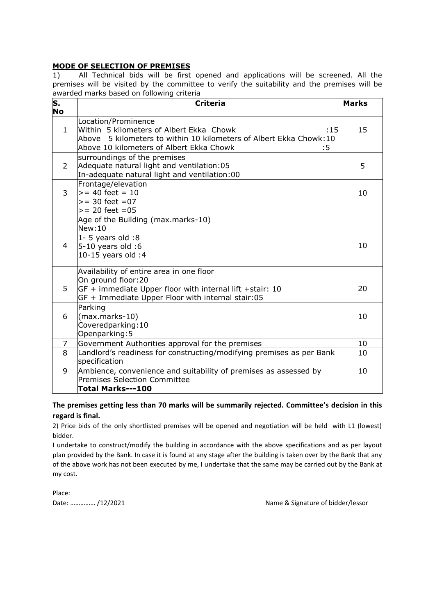#### **MODE OF SELECTION OF PREMISES**

1) All Technical bids will be first opened and applications will be screened. All the premises will be visited by the committee to verify the suitability and the premises will be awarded marks based on following criteria

| S.<br><b>No</b> | <b>Criteria</b>                                                                                                                                                                                 | <b>Marks</b> |
|-----------------|-------------------------------------------------------------------------------------------------------------------------------------------------------------------------------------------------|--------------|
| $\mathbf{1}$    | Location/Prominence<br>Within 5 kilometers of Albert Ekka Chowk<br>:15<br>Above 5 kilometers to within 10 kilometers of Albert Ekka Chowk: 10<br>Above 10 kilometers of Albert Ekka Chowk<br>:5 | 15           |
| 2               | surroundings of the premises<br>Adequate natural light and ventilation: 05<br>In-adequate natural light and ventilation:00                                                                      | 5            |
| 3               | Frontage/elevation<br>$> = 40$ feet = 10<br>$>= 30$ feet $= 07$<br>$>= 20$ feet = 05                                                                                                            | 10           |
| 4               | Age of the Building (max.marks-10)<br>New:10<br>$1 - 5$ years old :8<br>$5-10$ years old :6<br>10-15 years old :4                                                                               | 10           |
| 5.              | Availability of entire area in one floor<br>On ground floor:20<br>$GF +$ immediate Upper floor with internal lift +stair: 10<br>GF + Immediate Upper Floor with internal stair:05               | 20           |
| 6               | Parking<br>$(max.marks-10)$<br>Coveredparking: 10<br>Openparking: 5                                                                                                                             | 10           |
| 7               | Government Authorities approval for the premises                                                                                                                                                | 10           |
| 8               | Landlord's readiness for constructing/modifying premises as per Bank<br>specification                                                                                                           | 10           |
| 9               | Ambience, convenience and suitability of premises as assessed by<br><b>Premises Selection Committee</b>                                                                                         | 10           |
|                 | Total Marks---100                                                                                                                                                                               |              |

## **The premises getting less than 70 marks will be summarily rejected. Committee's decision in this regard is final.**

2) Price bids of the only shortlisted premises will be opened and negotiation will be held with L1 (lowest) bidder.

I undertake to construct/modify the building in accordance with the above specifications and as per layout plan provided by the Bank. In case it is found at any stage after the building is taken over by the Bank that any of the above work has not been executed by me, I undertake that the same may be carried out by the Bank at my cost.

Place:

Date: ............... /12/2021 1200 and 200 and 200 and 200 and 200 and 200 and 200 and 200 and 200 and 200 and 200 and 200 and 200 and 200 and 200 and 200 and 200 and 200 and 200 and 200 and 200 and 200 and 200 and 200 an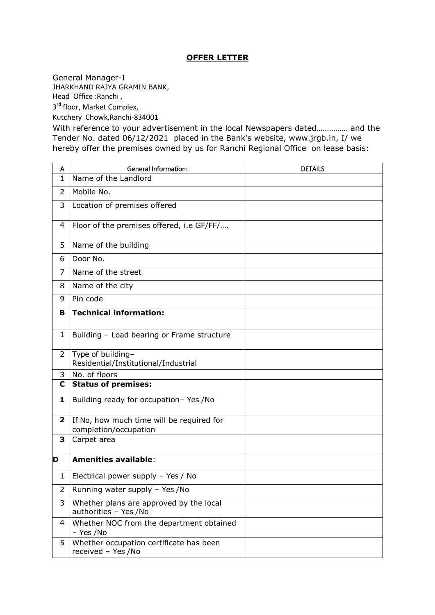# **OFFER LETTER**

General Manager-I

JHARKHAND RAJYA GRAMIN BANK, Head Office :Ranchi ,

3<sup>rd</sup> floor, Market Complex,

Kutchery Chowk,Ranchi-834001

With reference to your advertisement in the local Newspapers dated…………… and the Tender No. dated 06/12/2021 placed in the Bank's website, www.jrgb.in, I/ we hereby offer the premises owned by us for Ranchi Regional Office on lease basis:

| A              | <b>General Information:</b>                                        | <b>DETAILS</b> |
|----------------|--------------------------------------------------------------------|----------------|
| $\mathbf{1}$   | Name of the Landlord                                               |                |
| $\overline{2}$ | Mobile No.                                                         |                |
| 3              | Location of premises offered                                       |                |
| 4              | Floor of the premises offered, i.e GF/FF/                          |                |
| 5              | Name of the building                                               |                |
| 6              | Door No.                                                           |                |
| $\overline{7}$ | Name of the street                                                 |                |
| 8              | Name of the city                                                   |                |
| 9              | Pin code                                                           |                |
| В              | Technical information:                                             |                |
| $\mathbf{1}$   | Building - Load bearing or Frame structure                         |                |
| $\overline{2}$ | Type of building-<br>Residential/Institutional/Industrial          |                |
| 3              | No. of floors                                                      |                |
| C              | <b>Status of premises:</b>                                         |                |
| 1              | Building ready for occupation- Yes /No                             |                |
| $\overline{2}$ | If No, how much time will be required for<br>completion/occupation |                |
| 3              | Carpet area                                                        |                |
| D              | <b>Amenities available:</b>                                        |                |
| 1              | Electrical power supply - Yes / No                                 |                |
| 2              | Running water supply - Yes / No                                    |                |
| 3              | Whether plans are approved by the local<br>authorities - Yes /No   |                |
| 4              | Whether NOC from the department obtained<br>– Yes /No              |                |
| 5              | Whether occupation certificate has been<br>received - Yes /No      |                |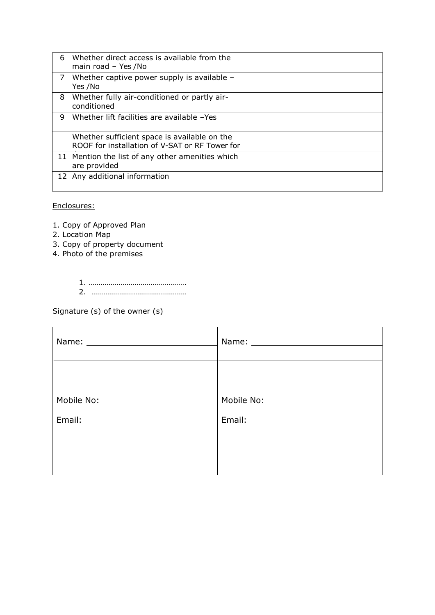| 6  | Whether direct access is available from the<br>$ $ main road - Yes /No                         |  |
|----|------------------------------------------------------------------------------------------------|--|
| 7  | Whether captive power supply is available $-$<br>Yes /No                                       |  |
| 8  | Whether fully air-conditioned or partly air-<br>conditioned                                    |  |
| q  | Whether lift facilities are available -Yes                                                     |  |
|    | Whether sufficient space is available on the<br>ROOF for installation of V-SAT or RF Tower for |  |
| 11 | Mention the list of any other amenities which<br>are provided                                  |  |
|    | 12 Any additional information                                                                  |  |

#### Enclosures:

- 1. Copy of Approved Plan
- 2. Location Map
- 3. Copy of property document
- 4. Photo of the premises
	- 1. …………………………………………. 2. …………………………………………

Signature (s) of the owner (s)

|            | Name: Name and Name and Name and Name and Name and Name and Name and Name and Name and Name and Name and Name and Name and Name and Name and Name and Name and Name and Name and Name and Name and Name and Name and Name and |  |
|------------|-------------------------------------------------------------------------------------------------------------------------------------------------------------------------------------------------------------------------------|--|
|            |                                                                                                                                                                                                                               |  |
| Mobile No: | Mobile No:                                                                                                                                                                                                                    |  |
| Email:     | Email:                                                                                                                                                                                                                        |  |
|            |                                                                                                                                                                                                                               |  |
|            |                                                                                                                                                                                                                               |  |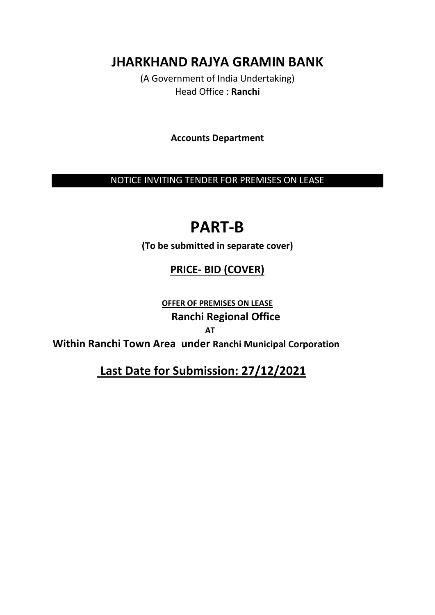**JHARKHAND RAJYA GRAMIN BANK**

(A Government of India Undertaking) Head Office : **Ranchi**

**Accounts Department**

NOTICE INVITING TENDER FOR PREMISES ON LEASE

# **PART-B**

**(To be submitted in separate cover)**

# **PRICE- BID (COVER)**

**OFFER OF PREMISES ON LEASE Ranchi Regional Office** *AT* 

**Within Ranchi Town Area under Ranchi Municipal Corporation**

 **Last Date for Submission: 27/12/2021**